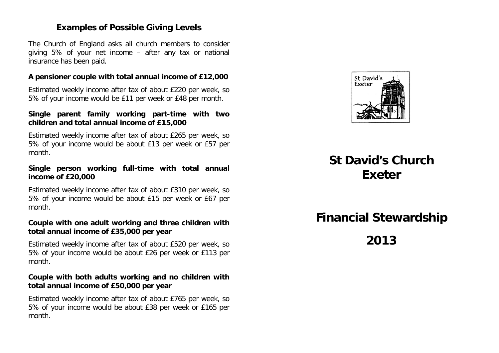### **Examples of Possible Giving Levels**

The Church of England asks all church members to consider giving 5% of your net income – after any tax or national insurance has been paid.

#### **A pensioner couple with total annual income of £12,000**

Estimated weekly income after tax of about £220 per week, so 5% of your income would be £11 per week or £48 per month.

### **Single parent family working part-time with two children and total annual income of £15,000**

Estimated weekly income after tax of about £265 per week, so 5% of your income would be about £13 per week or £57 per month.

### **Single person working full-time with total annual income of £20,000**

Estimated weekly income after tax of about £310 per week, so 5% of your income would be about £15 per week or £67 per month.

### **Couple with one adult working and three children with total annual income of £35,000 per year**

Estimated weekly income after tax of about £520 per week, so 5% of your income would be about £26 per week or £113 per month.

### **Couple with both adults working and no children with total annual income of £50,000 per year**

Estimated weekly income after tax of about £765 per week, so 5% of your income would be about £38 per week or £165 per month.



# **St David's Church Exeter**

# **Financial Stewardship**

**2013**